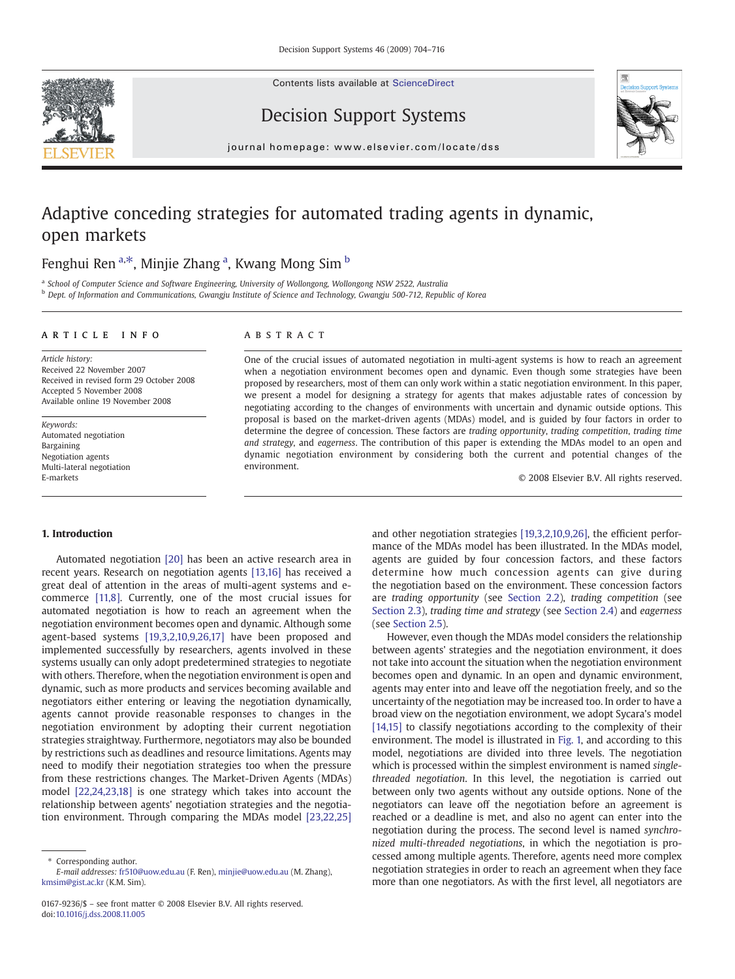Contents lists available at [ScienceDirect](http://www.sciencedirect.com/science/journal/01679236)





## Decision Support Systems

journal homepage: www.elsevier.com/locate/dss

# Adaptive conceding strategies for automated trading agents in dynamic, open markets

### Fenghui Ren <sup>a,\*</sup>, Minjie Zhang <sup>a</sup>, Kwang Mong Sim <sup>b</sup>

a School of Computer Science and Software Engineering, University of Wollongong, Wollongong NSW 2522, Australia

<sup>b</sup> Dept. of Information and Communications, Gwangju Institute of Science and Technology, Gwangju 500-712, Republic of Korea

#### article info abstract

Article history: Received 22 November 2007 Received in revised form 29 October 2008 Accepted 5 November 2008 Available online 19 November 2008

Keywords: Automated negotiation Bargaining Negotiation agents Multi-lateral negotiation E-markets

One of the crucial issues of automated negotiation in multi-agent systems is how to reach an agreement when a negotiation environment becomes open and dynamic. Even though some strategies have been proposed by researchers, most of them can only work within a static negotiation environment. In this paper, we present a model for designing a strategy for agents that makes adjustable rates of concession by negotiating according to the changes of environments with uncertain and dynamic outside options. This proposal is based on the market-driven agents (MDAs) model, and is guided by four factors in order to determine the degree of concession. These factors are trading opportunity, trading competition, trading time and strategy, and eagerness. The contribution of this paper is extending the MDAs model to an open and dynamic negotiation environment by considering both the current and potential changes of the environment.

© 2008 Elsevier B.V. All rights reserved.

#### 1. Introduction

Automated negotiation [\[20\]](#page--1-0) has been an active research area in recent years. Research on negotiation agents [\[13,16\]](#page--1-0) has received a great deal of attention in the areas of multi-agent systems and ecommerce [\[11,8\]](#page--1-0). Currently, one of the most crucial issues for automated negotiation is how to reach an agreement when the negotiation environment becomes open and dynamic. Although some agent-based systems [\[19,3,2,10,9,26,17\]](#page--1-0) have been proposed and implemented successfully by researchers, agents involved in these systems usually can only adopt predetermined strategies to negotiate with others. Therefore, when the negotiation environment is open and dynamic, such as more products and services becoming available and negotiators either entering or leaving the negotiation dynamically, agents cannot provide reasonable responses to changes in the negotiation environment by adopting their current negotiation strategies straightway. Furthermore, negotiators may also be bounded by restrictions such as deadlines and resource limitations. Agents may need to modify their negotiation strategies too when the pressure from these restrictions changes. The Market-Driven Agents (MDAs) model [\[22,24,23,18\]](#page--1-0) is one strategy which takes into account the relationship between agents' negotiation strategies and the negotiation environment. Through comparing the MDAs model [\[23,22,25\]](#page--1-0)

⁎ Corresponding author.

and other negotiation strategies [\[19,3,2,10,9,26\]](#page--1-0), the efficient performance of the MDAs model has been illustrated. In the MDAs model, agents are guided by four concession factors, and these factors determine how much concession agents can give during the negotiation based on the environment. These concession factors are trading opportunity (see [Section 2.2\)](#page-1-0), trading competition (see [Section 2.3\)](#page--1-0), trading time and strategy (see [Section 2.4](#page--1-0)) and eagerness (see [Section 2.5\)](#page--1-0).

However, even though the MDAs model considers the relationship between agents' strategies and the negotiation environment, it does not take into account the situation when the negotiation environment becomes open and dynamic. In an open and dynamic environment, agents may enter into and leave off the negotiation freely, and so the uncertainty of the negotiation may be increased too. In order to have a broad view on the negotiation environment, we adopt Sycara's model [\[14,15\]](#page--1-0) to classify negotiations according to the complexity of their environment. The model is illustrated in [Fig. 1,](#page-1-0) and according to this model, negotiations are divided into three levels. The negotiation which is processed within the simplest environment is named singlethreaded negotiation. In this level, the negotiation is carried out between only two agents without any outside options. None of the negotiators can leave off the negotiation before an agreement is reached or a deadline is met, and also no agent can enter into the negotiation during the process. The second level is named synchronized multi-threaded negotiations, in which the negotiation is processed among multiple agents. Therefore, agents need more complex negotiation strategies in order to reach an agreement when they face more than one negotiators. As with the first level, all negotiators are

E-mail addresses: [fr510@uow.edu.au](mailto:fr510@uow.edu.au) (F. Ren), [minjie@uow.edu.au](mailto:minjie@uow.edu.au) (M. Zhang), [kmsim@gist.ac.kr](mailto:kmsim@gist.ac.kr) (K.M. Sim).

<sup>0167-9236/\$</sup> – see front matter © 2008 Elsevier B.V. All rights reserved. doi[:10.1016/j.dss.2008.11.005](http://dx.doi.org/10.1016/j.dss.2008.11.005)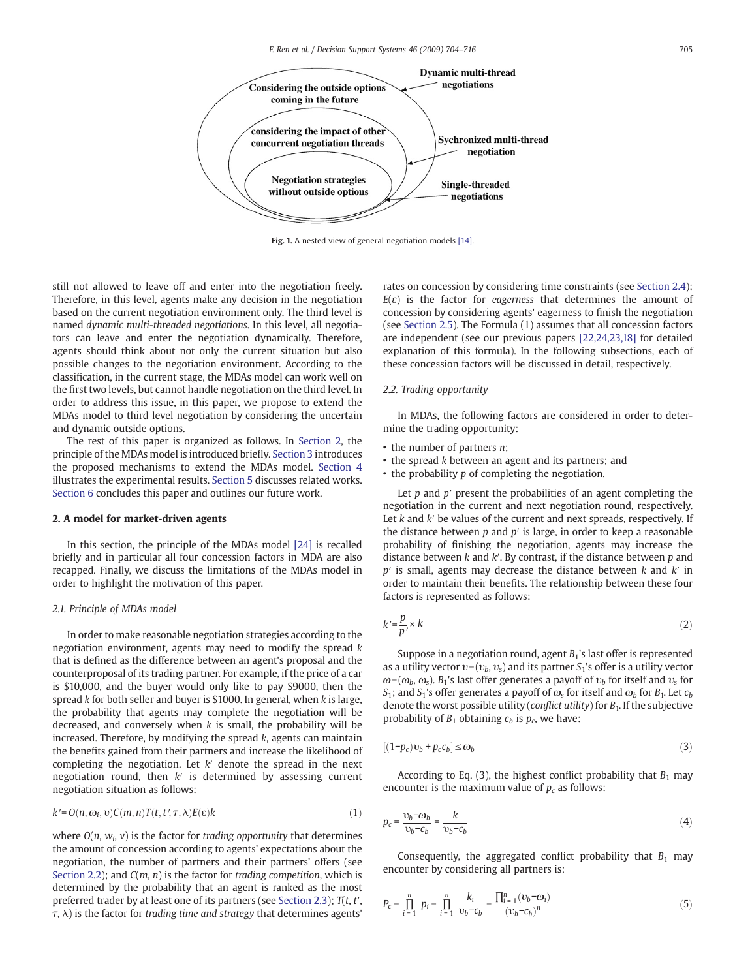<span id="page-1-0"></span>

Fig. 1. A nested view of general negotiation models [\[14\].](#page--1-0)

still not allowed to leave off and enter into the negotiation freely. Therefore, in this level, agents make any decision in the negotiation based on the current negotiation environment only. The third level is named dynamic multi-threaded negotiations. In this level, all negotiators can leave and enter the negotiation dynamically. Therefore, agents should think about not only the current situation but also possible changes to the negotiation environment. According to the classification, in the current stage, the MDAs model can work well on the first two levels, but cannot handle negotiation on the third level. In order to address this issue, in this paper, we propose to extend the MDAs model to third level negotiation by considering the uncertain and dynamic outside options.

The rest of this paper is organized as follows. In Section 2, the principle of the MDAs model is introduced briefly. [Section 3](#page--1-0) introduces the proposed mechanisms to extend the MDAs model. [Section 4](#page--1-0) illustrates the experimental results. [Section 5](#page--1-0) discusses related works. [Section 6](#page--1-0) concludes this paper and outlines our future work.

### 2. A model for market-driven agents

In this section, the principle of the MDAs model [\[24\]](#page--1-0) is recalled briefly and in particular all four concession factors in MDA are also recapped. Finally, we discuss the limitations of the MDAs model in order to highlight the motivation of this paper.

#### 2.1. Principle of MDAs model

In order to make reasonable negotiation strategies according to the negotiation environment, agents may need to modify the spread k that is defined as the difference between an agent's proposal and the counterproposal of its trading partner. For example, if the price of a car is \$10,000, and the buyer would only like to pay \$9000, then the spread k for both seller and buyer is \$1000. In general, when k is large, the probability that agents may complete the negotiation will be decreased, and conversely when  $k$  is small, the probability will be increased. Therefore, by modifying the spread k, agents can maintain the benefits gained from their partners and increase the likelihood of completing the negotiation. Let  $k'$  denote the spread in the next negotiation round, then  $k'$  is determined by assessing current negotiation situation as follows:

$$
k'=O(n,\omega_i,\nu)C(m,n)T(t,t',\tau,\lambda)E(\varepsilon)k
$$
\n(1)

where  $O(n, w_i, v)$  is the factor for trading opportunity that determines the amount of concession according to agents' expectations about the negotiation, the number of partners and their partners' offers (see Section 2.2); and  $C(m, n)$  is the factor for trading competition, which is determined by the probability that an agent is ranked as the most preferred trader by at least one of its partners (see [Section 2.3](#page--1-0));  $T(t, t', t')$  $(\tau, \lambda)$  is the factor for trading time and strategy that determines agents'

rates on concession by considering time constraints (see [Section 2.4\)](#page--1-0);  $E(\varepsilon)$  is the factor for eagerness that determines the amount of concession by considering agents' eagerness to finish the negotiation (see [Section 2.5](#page--1-0)). The Formula (1) assumes that all concession factors are independent (see our previous papers [\[22,24,23,18\]](#page--1-0) for detailed explanation of this formula). In the following subsections, each of these concession factors will be discussed in detail, respectively.

#### 2.2. Trading opportunity

In MDAs, the following factors are considered in order to determine the trading opportunity:

- the number of partners *n*:
- the spread k between an agent and its partners; and
- the probability p of completing the negotiation.

Let  $p$  and  $p'$  present the probabilities of an agent completing the negotiation in the current and next negotiation round, respectively. Let  $k$  and  $k'$  be values of the current and next spreads, respectively. If the distance between  $p$  and  $p'$  is large, in order to keep a reasonable probability of finishing the negotiation, agents may increase the distance between  $k$  and  $k'$ . By contrast, if the distance between  $p$  and  $p'$  is small, agents may decrease the distance between  $k$  and  $k'$  in order to maintain their benefits. The relationship between these four factors is represented as follows:

$$
k' = \frac{p}{p'} \times k \tag{2}
$$

Suppose in a negotiation round, agent  $B_1$ 's last offer is represented as a utility vector  $v=(v_b, v_s)$  and its partner  $S_1$ 's offer is a utility vector  $\omega$ = ( $\omega_b$ ,  $\omega_s$ ).  $B_1$ 's last offer generates a payoff of  $v_b$  for itself and  $v_s$  for S<sub>1</sub>; and S<sub>1</sub>'s offer generates a payoff of  $\omega_s$  for itself and  $\omega_b$  for B<sub>1</sub>. Let  $c_b$ denote the worst possible utility (*conflict utility*) for  $B_1$ . If the subjective probability of  $B_1$  obtaining  $c_b$  is  $p_c$ , we have:

$$
[(1-p_c)v_b + p_c c_b] \le \omega_b \tag{3}
$$

According to Eq. (3), the highest conflict probability that  $B_1$  may encounter is the maximum value of  $p_c$  as follows:

$$
p_c = \frac{\upsilon_b - \omega_b}{\upsilon_b - c_b} = \frac{k}{\upsilon_b - c_b} \tag{4}
$$

Consequently, the aggregated conflict probability that  $B_1$  may encounter by considering all partners is:

$$
P_c = \prod_{i=1}^{n} p_i = \prod_{i=1}^{n} \frac{k_i}{v_b - c_b} = \frac{\prod_{i=1}^{n} (v_b - c_i)}{(v_b - c_b)^n}
$$
(5)